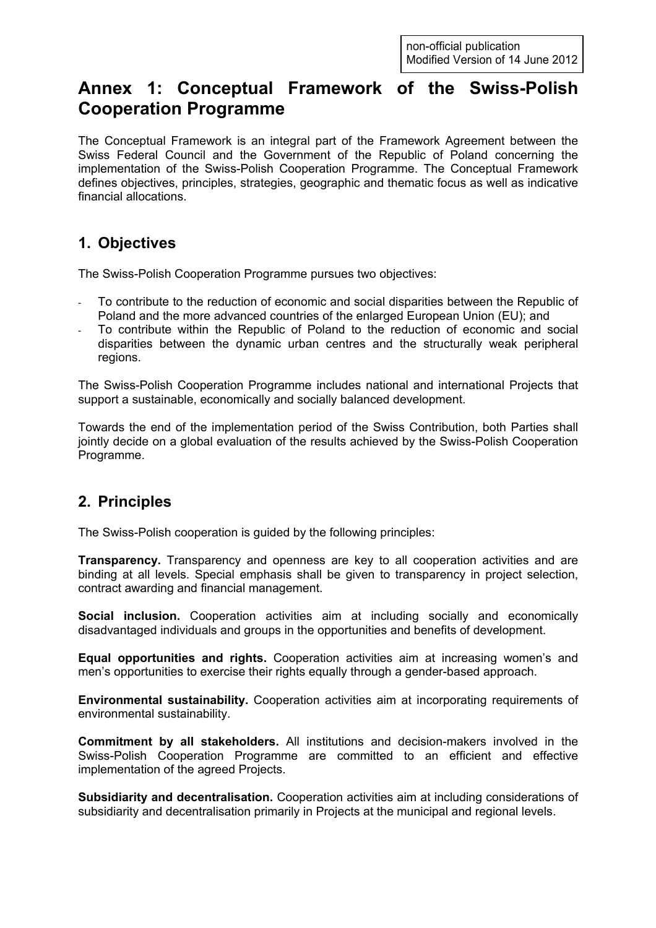# Annex 1: Conceptual Framework of the Swiss-Polish Cooperation Programme

The Conceptual Framework is an integral part of the Framework Agreement between the Swiss Federal Council and the Government of the Republic of Poland concerning the implementation of the Swiss-Polish Cooperation Programme. The Conceptual Framework defines objectives, principles, strategies, geographic and thematic focus as well as indicative financial allocations.

#### 1. Objectives

The Swiss-Polish Cooperation Programme pursues two objectives:

- To contribute to the reduction of economic and social disparities between the Republic of Poland and the more advanced countries of the enlarged European Union (EU); and
- To contribute within the Republic of Poland to the reduction of economic and social disparities between the dynamic urban centres and the structurally weak peripheral regions.

The Swiss-Polish Cooperation Programme includes national and international Projects that support a sustainable, economically and socially balanced development.

Towards the end of the implementation period of the Swiss Contribution, both Parties shall jointly decide on a global evaluation of the results achieved by the Swiss-Polish Cooperation Programme.

#### 2. Principles

The Swiss-Polish cooperation is guided by the following principles:

**Transparency.** Transparency and openness are key to all cooperation activities and are binding at all levels. Special emphasis shall be given to transparency in project selection, contract awarding and financial management.

Social inclusion. Cooperation activities aim at including socially and economically disadvantaged individuals and groups in the opportunities and benefits of development.

Equal opportunities and rights. Cooperation activities aim at increasing women's and men's opportunities to exercise their rights equally through a gender-based approach.

Environmental sustainability. Cooperation activities aim at incorporating requirements of environmental sustainability.

Commitment by all stakeholders. All institutions and decision-makers involved in the Swiss-Polish Cooperation Programme are committed to an efficient and effective implementation of the agreed Projects.

Subsidiarity and decentralisation. Cooperation activities aim at including considerations of subsidiarity and decentralisation primarily in Projects at the municipal and regional levels.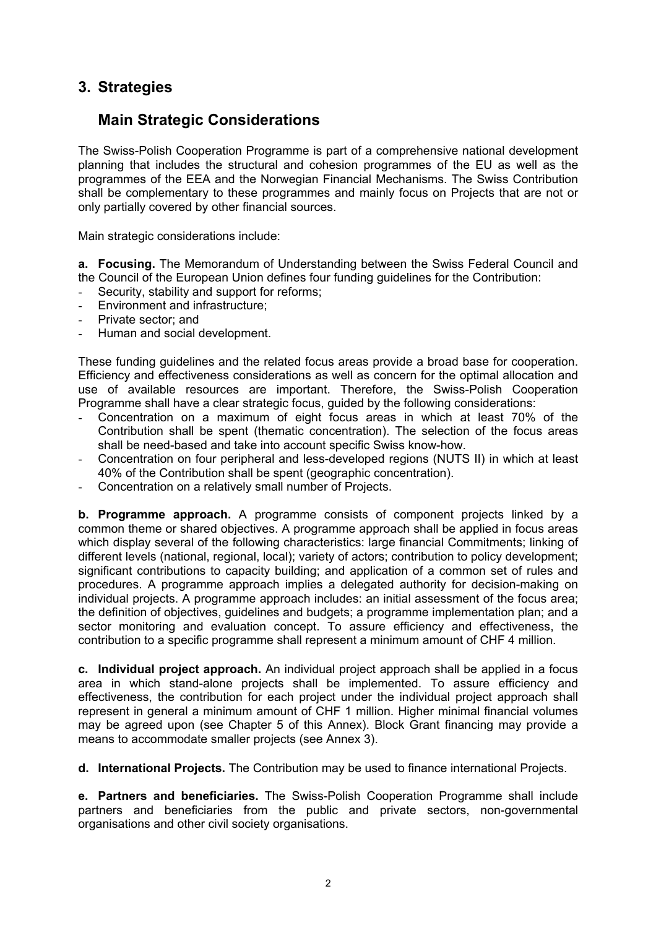#### 3. Strategies

#### Main Strategic Considerations

The Swiss-Polish Cooperation Programme is part of a comprehensive national development planning that includes the structural and cohesion programmes of the EU as well as the programmes of the EEA and the Norwegian Financial Mechanisms. The Swiss Contribution shall be complementary to these programmes and mainly focus on Projects that are not or only partially covered by other financial sources.

Main strategic considerations include:

a. Focusing. The Memorandum of Understanding between the Swiss Federal Council and the Council of the European Union defines four funding guidelines for the Contribution:

- Security, stability and support for reforms;
- Environment and infrastructure;
- Private sector; and
- Human and social development.

These funding guidelines and the related focus areas provide a broad base for cooperation. Efficiency and effectiveness considerations as well as concern for the optimal allocation and use of available resources are important. Therefore, the Swiss-Polish Cooperation Programme shall have a clear strategic focus, guided by the following considerations:

- Concentration on a maximum of eight focus areas in which at least 70% of the Contribution shall be spent (thematic concentration). The selection of the focus areas shall be need-based and take into account specific Swiss know-how.
- Concentration on four peripheral and less-developed regions (NUTS II) in which at least 40% of the Contribution shall be spent (geographic concentration).
- Concentration on a relatively small number of Projects.

b. Programme approach. A programme consists of component projects linked by a common theme or shared objectives. A programme approach shall be applied in focus areas which display several of the following characteristics: large financial Commitments; linking of different levels (national, regional, local); variety of actors; contribution to policy development; significant contributions to capacity building; and application of a common set of rules and procedures. A programme approach implies a delegated authority for decision-making on individual projects. A programme approach includes: an initial assessment of the focus area; the definition of objectives, guidelines and budgets; a programme implementation plan; and a sector monitoring and evaluation concept. To assure efficiency and effectiveness, the contribution to a specific programme shall represent a minimum amount of CHF 4 million.

c. Individual project approach. An individual project approach shall be applied in a focus area in which stand-alone projects shall be implemented. To assure efficiency and effectiveness, the contribution for each project under the individual project approach shall represent in general a minimum amount of CHF 1 million. Higher minimal financial volumes may be agreed upon (see Chapter 5 of this Annex). Block Grant financing may provide a means to accommodate smaller projects (see Annex 3).

d. International Projects. The Contribution may be used to finance international Projects.

e. Partners and beneficiaries. The Swiss-Polish Cooperation Programme shall include partners and beneficiaries from the public and private sectors, non-governmental organisations and other civil society organisations.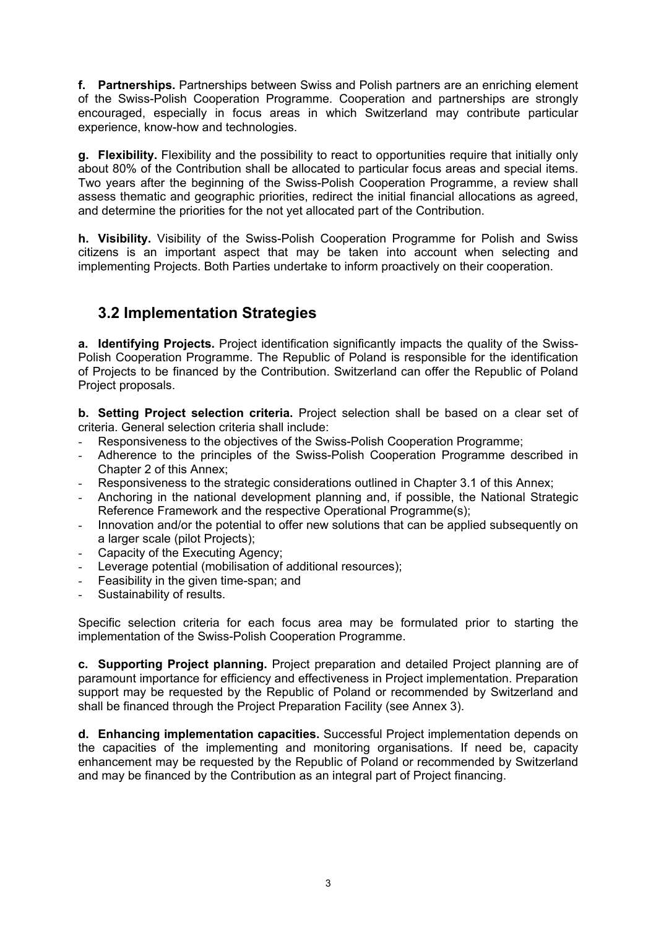f. Partnerships. Partnerships between Swiss and Polish partners are an enriching element of the Swiss-Polish Cooperation Programme. Cooperation and partnerships are strongly encouraged, especially in focus areas in which Switzerland may contribute particular experience, know-how and technologies.

g. Flexibility. Flexibility and the possibility to react to opportunities require that initially only about 80% of the Contribution shall be allocated to particular focus areas and special items. Two years after the beginning of the Swiss-Polish Cooperation Programme, a review shall assess thematic and geographic priorities, redirect the initial financial allocations as agreed, and determine the priorities for the not yet allocated part of the Contribution.

h. Visibility. Visibility of the Swiss-Polish Cooperation Programme for Polish and Swiss citizens is an important aspect that may be taken into account when selecting and implementing Projects. Both Parties undertake to inform proactively on their cooperation.

## 3.2 Implementation Strategies

a. Identifying Projects. Project identification significantly impacts the quality of the Swiss-Polish Cooperation Programme. The Republic of Poland is responsible for the identification of Projects to be financed by the Contribution. Switzerland can offer the Republic of Poland Project proposals.

b. Setting Project selection criteria. Project selection shall be based on a clear set of criteria. General selection criteria shall include:

- Responsiveness to the objectives of the Swiss-Polish Cooperation Programme;
- Adherence to the principles of the Swiss-Polish Cooperation Programme described in Chapter 2 of this Annex;
- Responsiveness to the strategic considerations outlined in Chapter 3.1 of this Annex;
- Anchoring in the national development planning and, if possible, the National Strategic Reference Framework and the respective Operational Programme(s);
- Innovation and/or the potential to offer new solutions that can be applied subsequently on a larger scale (pilot Projects);
- Capacity of the Executing Agency;
- Leverage potential (mobilisation of additional resources);
- Feasibility in the given time-span; and
- Sustainability of results.

Specific selection criteria for each focus area may be formulated prior to starting the implementation of the Swiss-Polish Cooperation Programme.

c. Supporting Project planning. Project preparation and detailed Project planning are of paramount importance for efficiency and effectiveness in Project implementation. Preparation support may be requested by the Republic of Poland or recommended by Switzerland and shall be financed through the Project Preparation Facility (see Annex 3).

d. Enhancing implementation capacities. Successful Project implementation depends on the capacities of the implementing and monitoring organisations. If need be, capacity enhancement may be requested by the Republic of Poland or recommended by Switzerland and may be financed by the Contribution as an integral part of Project financing.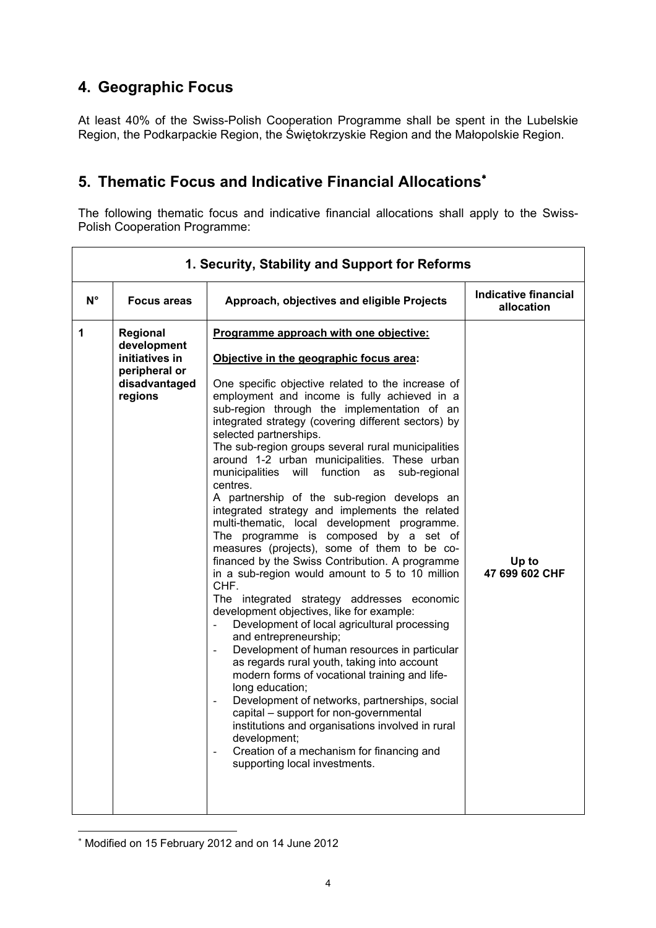## 4. Geographic Focus

At least 40% of the Swiss-Polish Cooperation Programme shall be spent in the Lubelskie Region, the Podkarpackie Region, the Świętokrzyskie Region and the Małopolskie Region.

### 5. Thematic Focus and Indicative Financial Allocations<sup>\*</sup>

The following thematic focus and indicative financial allocations shall apply to the Swiss-Polish Cooperation Programme:

| 1. Security, Stability and Support for Reforms |                                                                                        |                                                                                                                                                                                                                                                                                                                                                                                                                                                                                                                                                                                                                                                                                                                                                                                                                                                                                                                                                                                                                                                                                                                                                                                                                                                                                                                                                                                                                                                                                      |                                           |
|------------------------------------------------|----------------------------------------------------------------------------------------|--------------------------------------------------------------------------------------------------------------------------------------------------------------------------------------------------------------------------------------------------------------------------------------------------------------------------------------------------------------------------------------------------------------------------------------------------------------------------------------------------------------------------------------------------------------------------------------------------------------------------------------------------------------------------------------------------------------------------------------------------------------------------------------------------------------------------------------------------------------------------------------------------------------------------------------------------------------------------------------------------------------------------------------------------------------------------------------------------------------------------------------------------------------------------------------------------------------------------------------------------------------------------------------------------------------------------------------------------------------------------------------------------------------------------------------------------------------------------------------|-------------------------------------------|
| $\mathsf{N}^\circ$                             | <b>Focus areas</b>                                                                     | Approach, objectives and eligible Projects                                                                                                                                                                                                                                                                                                                                                                                                                                                                                                                                                                                                                                                                                                                                                                                                                                                                                                                                                                                                                                                                                                                                                                                                                                                                                                                                                                                                                                           | <b>Indicative financial</b><br>allocation |
| 1                                              | Regional<br>development<br>initiatives in<br>peripheral or<br>disadvantaged<br>regions | Programme approach with one objective:<br>Objective in the geographic focus area:<br>One specific objective related to the increase of<br>employment and income is fully achieved in a<br>sub-region through the implementation of an<br>integrated strategy (covering different sectors) by<br>selected partnerships.<br>The sub-region groups several rural municipalities<br>around 1-2 urban municipalities. These urban<br>municipalities will function as<br>sub-regional<br>centres.<br>A partnership of the sub-region develops an<br>integrated strategy and implements the related<br>multi-thematic, local development programme.<br>The programme is composed by a set of<br>measures (projects), some of them to be co-<br>financed by the Swiss Contribution. A programme<br>in a sub-region would amount to 5 to 10 million<br>CHF.<br>The integrated strategy addresses economic<br>development objectives, like for example:<br>Development of local agricultural processing<br>$\overline{\phantom{a}}$<br>and entrepreneurship;<br>Development of human resources in particular<br>as regards rural youth, taking into account<br>modern forms of vocational training and life-<br>long education;<br>Development of networks, partnerships, social<br>$\blacksquare$<br>capital - support for non-governmental<br>institutions and organisations involved in rural<br>development;<br>Creation of a mechanism for financing and<br>supporting local investments. | Up to<br>47 699 602 CHF                   |

 $\overline{a}$ ∗ Modified on 15 February 2012 and on 14 June 2012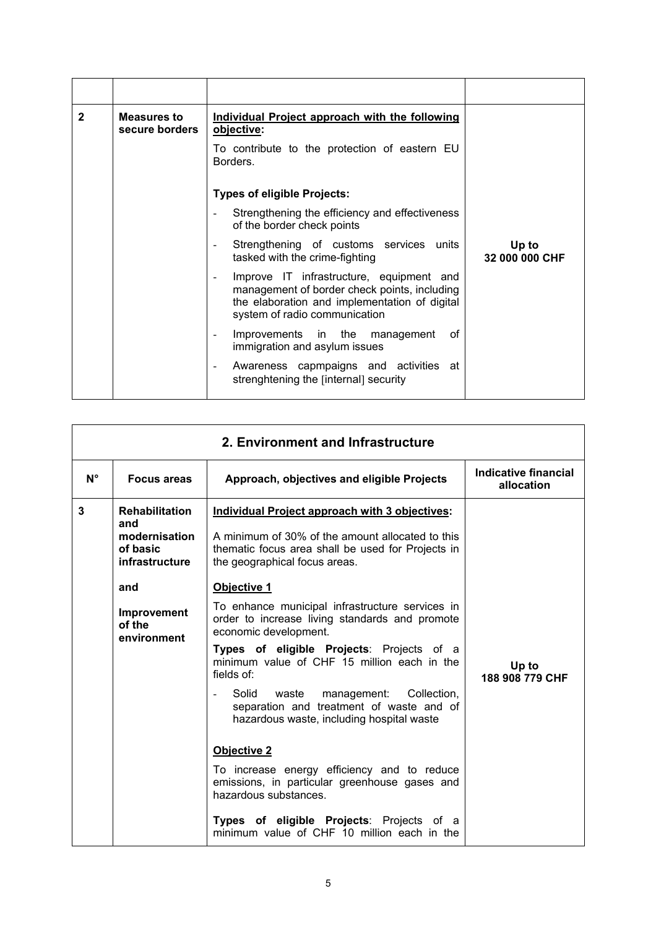| $\mathbf{2}$ | Measures to<br>secure borders | <b>Individual Project approach with the following</b><br>objective:                                                                                                        |                         |
|--------------|-------------------------------|----------------------------------------------------------------------------------------------------------------------------------------------------------------------------|-------------------------|
|              |                               | To contribute to the protection of eastern EU<br>Borders.                                                                                                                  |                         |
|              |                               | <b>Types of eligible Projects:</b>                                                                                                                                         |                         |
|              |                               | Strengthening the efficiency and effectiveness<br>of the border check points                                                                                               |                         |
|              |                               | Strengthening of customs services units<br>tasked with the crime-fighting                                                                                                  | Up to<br>32 000 000 CHF |
|              |                               | Improve IT infrastructure, equipment and<br>management of border check points, including<br>the elaboration and implementation of digital<br>system of radio communication |                         |
|              |                               | Improvements in the<br>0f<br>management<br>immigration and asylum issues                                                                                                   |                         |
|              |                               | Awareness capmpaigns and activities at<br>strenghtening the [internal] security                                                                                            |                         |

| 2. Environment and Infrastructure |                                                                             |                                                                                                                                                                                                                        |                                    |  |
|-----------------------------------|-----------------------------------------------------------------------------|------------------------------------------------------------------------------------------------------------------------------------------------------------------------------------------------------------------------|------------------------------------|--|
| $N^{\circ}$                       | <b>Focus areas</b>                                                          | Approach, objectives and eligible Projects                                                                                                                                                                             | Indicative financial<br>allocation |  |
| 3                                 | <b>Rehabilitation</b><br>and<br>modernisation<br>of basic<br>infrastructure | Individual Project approach with 3 objectives:<br>A minimum of 30% of the amount allocated to this<br>thematic focus area shall be used for Projects in<br>the geographical focus areas.                               |                                    |  |
|                                   | and                                                                         | Objective 1                                                                                                                                                                                                            |                                    |  |
|                                   | Improvement<br>of the<br>environment                                        | To enhance municipal infrastructure services in<br>order to increase living standards and promote<br>economic development.<br>Types of eligible Projects: Projects of a<br>minimum value of CHF 15 million each in the | Up to                              |  |
|                                   |                                                                             | fields of:<br>Solid waste<br>management: Collection,<br>separation and treatment of waste and of<br>hazardous waste, including hospital waste                                                                          | 188 908 779 CHF                    |  |
|                                   |                                                                             | <b>Objective 2</b>                                                                                                                                                                                                     |                                    |  |
|                                   |                                                                             | To increase energy efficiency and to reduce<br>emissions, in particular greenhouse gases and<br>hazardous substances.                                                                                                  |                                    |  |
|                                   |                                                                             | Types of eligible Projects: Projects of a<br>minimum value of CHF 10 million each in the                                                                                                                               |                                    |  |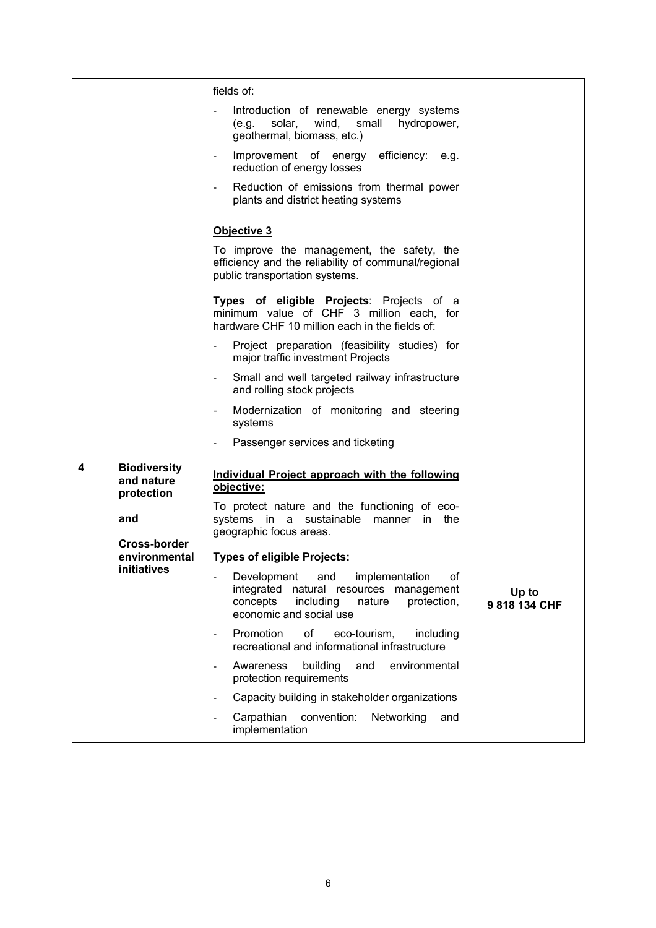|   |                                                 | fields of:                                                                                                                                                            |                        |
|---|-------------------------------------------------|-----------------------------------------------------------------------------------------------------------------------------------------------------------------------|------------------------|
|   |                                                 | Introduction of renewable energy systems<br>solar, wind, small hydropower,<br>(e.g.<br>geothermal, biomass, etc.)                                                     |                        |
|   |                                                 | Improvement of energy efficiency: e.g.<br>$\overline{a}$<br>reduction of energy losses                                                                                |                        |
|   |                                                 | Reduction of emissions from thermal power<br>$\overline{\phantom{a}}$<br>plants and district heating systems                                                          |                        |
|   |                                                 | Objective 3                                                                                                                                                           |                        |
|   |                                                 | To improve the management, the safety, the<br>efficiency and the reliability of communal/regional<br>public transportation systems.                                   |                        |
|   |                                                 | Types of eligible Projects: Projects of a<br>minimum value of CHF 3 million each, for<br>hardware CHF 10 million each in the fields of:                               |                        |
|   |                                                 | Project preparation (feasibility studies) for<br>$\overline{\phantom{a}}$<br>major traffic investment Projects                                                        |                        |
|   |                                                 | Small and well targeted railway infrastructure<br>$\overline{\phantom{a}}$<br>and rolling stock projects                                                              |                        |
|   |                                                 | Modernization of monitoring and steering<br>$\qquad \qquad \blacksquare$<br>systems                                                                                   |                        |
|   |                                                 | Passenger services and ticketing                                                                                                                                      |                        |
| 4 | <b>Biodiversity</b><br>and nature<br>protection | Individual Project approach with the following<br>objective:                                                                                                          |                        |
|   | and                                             | To protect nature and the functioning of eco-<br>systems in a sustainable manner in the                                                                               |                        |
|   | Cross-border                                    | geographic focus areas.                                                                                                                                               |                        |
|   | environmental<br>initiatives                    | <b>Types of eligible Projects:</b>                                                                                                                                    |                        |
|   |                                                 | Development<br>and<br>implementation<br>οf<br>integrated<br>natural resources management<br>concepts<br>including<br>protection,<br>nature<br>economic and social use | Up to<br>9 818 134 CHF |
|   |                                                 | Promotion<br>of<br>eco-tourism,<br>including<br>$\overline{\phantom{a}}$<br>recreational and informational infrastructure                                             |                        |
|   |                                                 | building<br>and<br>Awareness<br>environmental<br>$\overline{a}$<br>protection requirements                                                                            |                        |
|   |                                                 | Capacity building in stakeholder organizations<br>$\overline{\phantom{a}}$                                                                                            |                        |
|   |                                                 | convention:<br>Networking<br>Carpathian<br>and<br>$\overline{a}$<br>implementation                                                                                    |                        |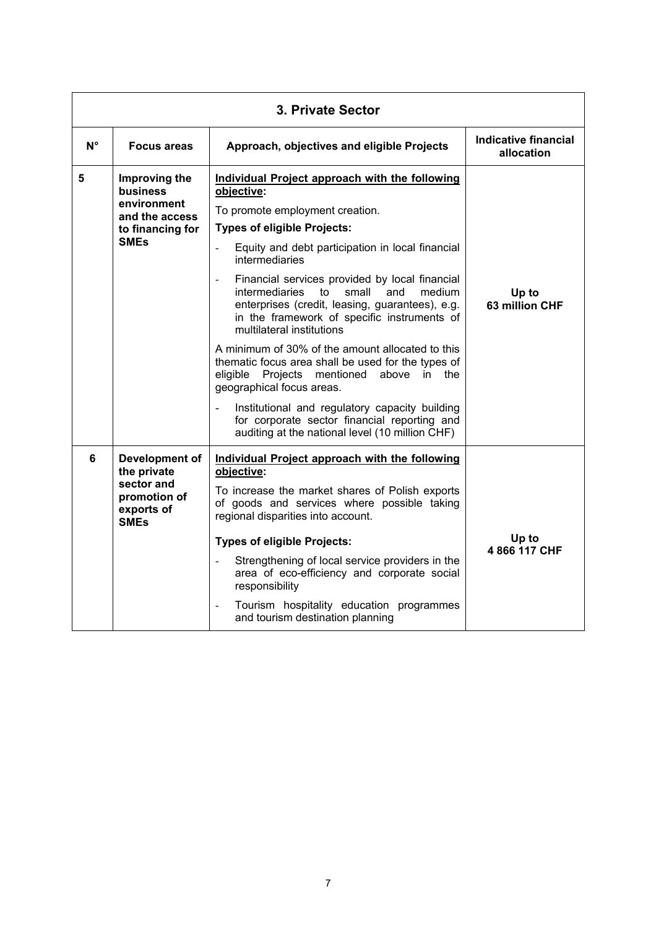| 3. Private Sector                                               |                                                                                          |                                                                                                                                                                                                                                                                    |                                           |
|-----------------------------------------------------------------|------------------------------------------------------------------------------------------|--------------------------------------------------------------------------------------------------------------------------------------------------------------------------------------------------------------------------------------------------------------------|-------------------------------------------|
| $N^{\circ}$                                                     | <b>Focus areas</b>                                                                       | Approach, objectives and eligible Projects                                                                                                                                                                                                                         | <b>Indicative financial</b><br>allocation |
| 5<br>Improving the<br>business<br>environment<br>and the access |                                                                                          | Individual Project approach with the following<br>objective:<br>To promote employment creation.<br><b>Types of eligible Projects:</b>                                                                                                                              |                                           |
|                                                                 | to financing for<br><b>SMEs</b>                                                          | Equity and debt participation in local financial<br>$\blacksquare$<br>intermediaries                                                                                                                                                                               |                                           |
|                                                                 |                                                                                          | Financial services provided by local financial<br>$\overline{\phantom{m}}$<br><i>intermediaries</i><br>small<br>to<br>and<br>medium<br>enterprises (credit, leasing, guarantees), e.g.<br>in the framework of specific instruments of<br>multilateral institutions | Up to<br>63 million CHF                   |
|                                                                 |                                                                                          | A minimum of 30% of the amount allocated to this<br>thematic focus area shall be used for the types of<br>eligible<br>Projects<br>mentioned<br>above<br>in the<br>geographical focus areas.                                                                        |                                           |
|                                                                 |                                                                                          | Institutional and regulatory capacity building<br>ä,<br>for corporate sector financial reporting and<br>auditing at the national level (10 million CHF)                                                                                                            |                                           |
| 6                                                               | Development of<br>the private<br>sector and<br>promotion of<br>exports of<br><b>SMEs</b> | Individual Project approach with the following<br>objective:<br>To increase the market shares of Polish exports<br>of goods and services where possible taking<br>regional disparities into account.                                                               |                                           |
|                                                                 |                                                                                          | <b>Types of eligible Projects:</b>                                                                                                                                                                                                                                 | Up to<br>4 866 117 CHF                    |
|                                                                 |                                                                                          | Strengthening of local service providers in the<br>area of eco-efficiency and corporate social<br>responsibility                                                                                                                                                   |                                           |
|                                                                 |                                                                                          | Tourism hospitality education programmes<br>$\overline{\phantom{a}}$<br>and tourism destination planning                                                                                                                                                           |                                           |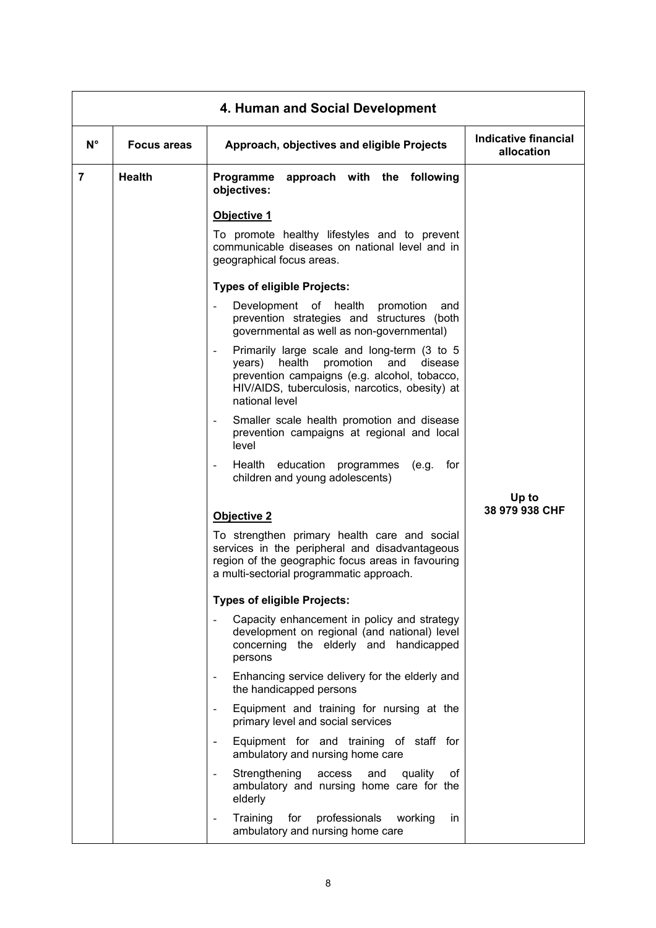| 4. Human and Social Development |                    |                                                                                                                                                                                                                                      |                                    |  |
|---------------------------------|--------------------|--------------------------------------------------------------------------------------------------------------------------------------------------------------------------------------------------------------------------------------|------------------------------------|--|
| $N^{\circ}$                     | <b>Focus areas</b> | Approach, objectives and eligible Projects                                                                                                                                                                                           | Indicative financial<br>allocation |  |
| $\overline{7}$                  | <b>Health</b>      | Programme<br>approach with the following<br>objectives:                                                                                                                                                                              |                                    |  |
|                                 |                    | Objective 1                                                                                                                                                                                                                          |                                    |  |
|                                 |                    | To promote healthy lifestyles and to prevent<br>communicable diseases on national level and in<br>geographical focus areas.                                                                                                          |                                    |  |
|                                 |                    | <b>Types of eligible Projects:</b>                                                                                                                                                                                                   |                                    |  |
|                                 |                    | Development<br>of health<br>promotion<br>and<br>$\overline{\phantom{a}}$<br>prevention strategies and structures (both<br>governmental as well as non-governmental)                                                                  |                                    |  |
|                                 |                    | Primarily large scale and long-term (3 to 5<br>$\blacksquare$<br>health<br>promotion<br>and<br>years)<br>disease<br>prevention campaigns (e.g. alcohol, tobacco,<br>HIV/AIDS, tuberculosis, narcotics, obesity) at<br>national level |                                    |  |
|                                 |                    | Smaller scale health promotion and disease<br>prevention campaigns at regional and local<br>level                                                                                                                                    |                                    |  |
|                                 |                    | Health education<br>programmes<br>(e.g.<br>for<br>children and young adolescents)                                                                                                                                                    |                                    |  |
|                                 |                    | <b>Objective 2</b>                                                                                                                                                                                                                   | Up to<br>38 979 938 CHF            |  |
|                                 |                    | To strengthen primary health care and social<br>services in the peripheral and disadvantageous<br>region of the geographic focus areas in favouring<br>a multi-sectorial programmatic approach.                                      |                                    |  |
|                                 |                    | <b>Types of eligible Projects:</b>                                                                                                                                                                                                   |                                    |  |
|                                 |                    | Capacity enhancement in policy and strategy<br>development on regional (and national) level<br>concerning the elderly and handicapped<br>persons                                                                                     |                                    |  |
|                                 |                    | Enhancing service delivery for the elderly and<br>the handicapped persons                                                                                                                                                            |                                    |  |
|                                 |                    | Equipment and training for nursing at the<br>$\overline{\phantom{a}}$<br>primary level and social services                                                                                                                           |                                    |  |
|                                 |                    | Equipment for and training of staff for<br>$\overline{\phantom{a}}$<br>ambulatory and nursing home care                                                                                                                              |                                    |  |
|                                 |                    | Strengthening<br>quality<br>οf<br>access<br>and<br>$\blacksquare$<br>ambulatory and nursing home care for the<br>elderly                                                                                                             |                                    |  |
|                                 |                    | for<br>professionals<br>Training<br>working<br>in<br>ambulatory and nursing home care                                                                                                                                                |                                    |  |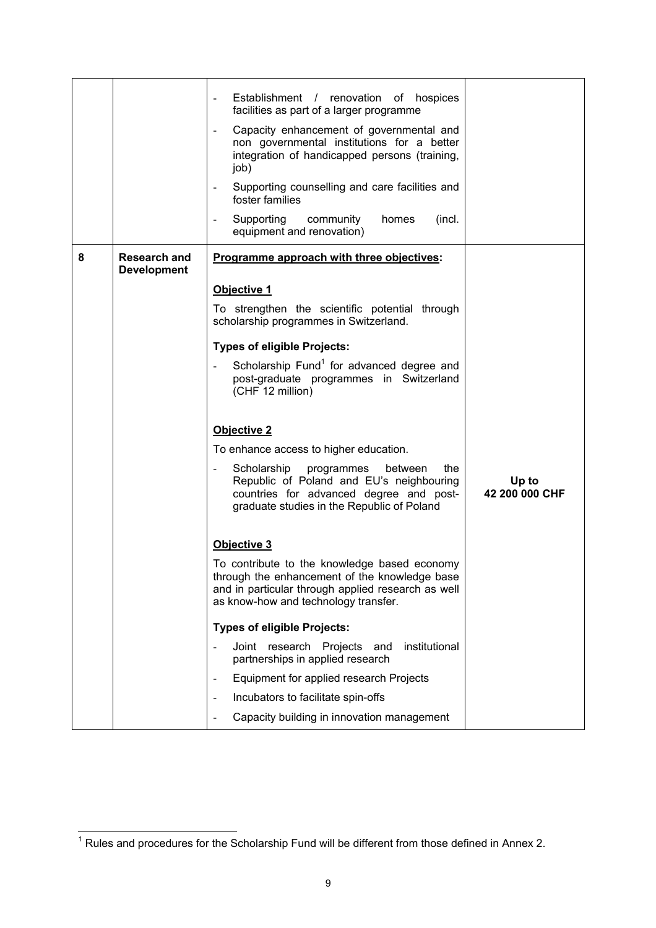|   |                                           | Establishment / renovation of hospices<br>facilities as part of a larger programme<br>Capacity enhancement of governmental and<br>$\overline{\phantom{a}}$<br>non governmental institutions for a better<br>integration of handicapped persons (training,<br>job)<br>Supporting counselling and care facilities and<br>foster families<br>Supporting<br>community<br>(incl.<br>homes<br>$\overline{\phantom{a}}$<br>equipment and renovation)                                 |                         |
|---|-------------------------------------------|-------------------------------------------------------------------------------------------------------------------------------------------------------------------------------------------------------------------------------------------------------------------------------------------------------------------------------------------------------------------------------------------------------------------------------------------------------------------------------|-------------------------|
| 8 | <b>Research and</b><br><b>Development</b> | Programme approach with three objectives:<br>Objective 1<br>To strengthen the scientific potential through<br>scholarship programmes in Switzerland.<br><b>Types of eligible Projects:</b>                                                                                                                                                                                                                                                                                    |                         |
|   |                                           | Scholarship Fund <sup>1</sup> for advanced degree and<br>post-graduate programmes in Switzerland<br>(CHF 12 million)<br>Objective 2<br>To enhance access to higher education.<br>Scholarship<br>between<br>the<br>programmes<br>Republic of Poland and EU's neighbouring<br>countries for advanced degree and post-<br>graduate studies in the Republic of Poland                                                                                                             | Up to<br>42 200 000 CHF |
|   |                                           | <b>Objective 3</b><br>To contribute to the knowledge based economy<br>through the enhancement of the knowledge base<br>and in particular through applied research as well<br>as know-how and technology transfer.<br><b>Types of eligible Projects:</b><br>institutional<br>Joint research Projects<br>and<br>partnerships in applied research<br>Equipment for applied research Projects<br>Incubators to facilitate spin-offs<br>Capacity building in innovation management |                         |

 1 Rules and procedures for the Scholarship Fund will be different from those defined in Annex 2.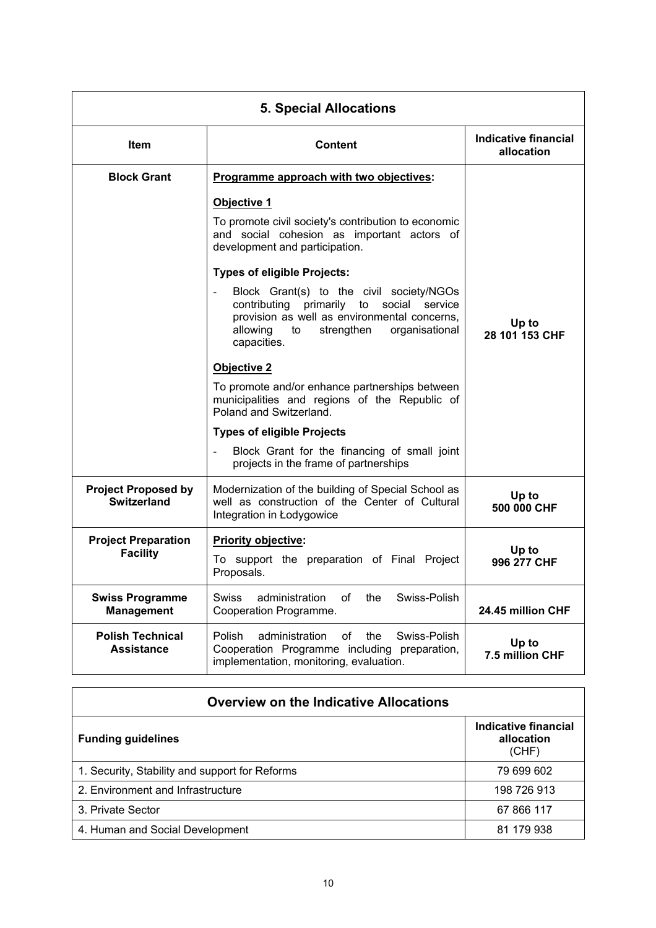| <b>5. Special Allocations</b>                    |                                                                                                                                                                                                    |                                           |
|--------------------------------------------------|----------------------------------------------------------------------------------------------------------------------------------------------------------------------------------------------------|-------------------------------------------|
| Item                                             | <b>Content</b>                                                                                                                                                                                     | <b>Indicative financial</b><br>allocation |
| <b>Block Grant</b>                               | Programme approach with two objectives:                                                                                                                                                            |                                           |
|                                                  | Objective 1                                                                                                                                                                                        |                                           |
|                                                  | To promote civil society's contribution to economic<br>and social cohesion as important actors of<br>development and participation.                                                                |                                           |
|                                                  | <b>Types of eligible Projects:</b>                                                                                                                                                                 |                                           |
|                                                  | Block Grant(s) to the civil society/NGOs<br>contributing primarily to social service<br>provision as well as environmental concerns,<br>allowing to<br>strengthen<br>organisational<br>capacities. | Up to<br>28 101 153 CHF                   |
|                                                  | Objective 2                                                                                                                                                                                        |                                           |
|                                                  | To promote and/or enhance partnerships between<br>municipalities and regions of the Republic of<br>Poland and Switzerland.                                                                         |                                           |
|                                                  | <b>Types of eligible Projects</b>                                                                                                                                                                  |                                           |
|                                                  | Block Grant for the financing of small joint<br>projects in the frame of partnerships                                                                                                              |                                           |
| <b>Project Proposed by</b><br><b>Switzerland</b> | Modernization of the building of Special School as<br>well as construction of the Center of Cultural<br>Integration in Łodygowice                                                                  | Up to<br>500 000 CHF                      |
| <b>Project Preparation</b>                       | Priority objective:                                                                                                                                                                                |                                           |
| <b>Facility</b>                                  | To support the preparation of Final Project<br>Proposals.                                                                                                                                          | Up to<br>996 277 CHF                      |
| <b>Swiss Programme</b><br><b>Management</b>      | Swiss-Polish<br>administration<br>οf<br>the<br><b>Swiss</b><br>Cooperation Programme.                                                                                                              | 24.45 million CHF                         |
| <b>Polish Technical</b><br><b>Assistance</b>     | administration<br>of<br>Polish<br>the<br>Swiss-Polish<br>Cooperation Programme including<br>preparation,<br>implementation, monitoring, evaluation.                                                | Up to<br>7.5 million CHF                  |

| <b>Overview on the Indicative Allocations</b>  |                                             |  |  |
|------------------------------------------------|---------------------------------------------|--|--|
| <b>Funding guidelines</b>                      | Indicative financial<br>allocation<br>(CHF) |  |  |
| 1. Security, Stability and support for Reforms | 79 699 602                                  |  |  |
| 2. Environment and Infrastructure              | 198 726 913                                 |  |  |
| 3. Private Sector                              | 67 866 117                                  |  |  |
| 4. Human and Social Development                | 81 179 938                                  |  |  |